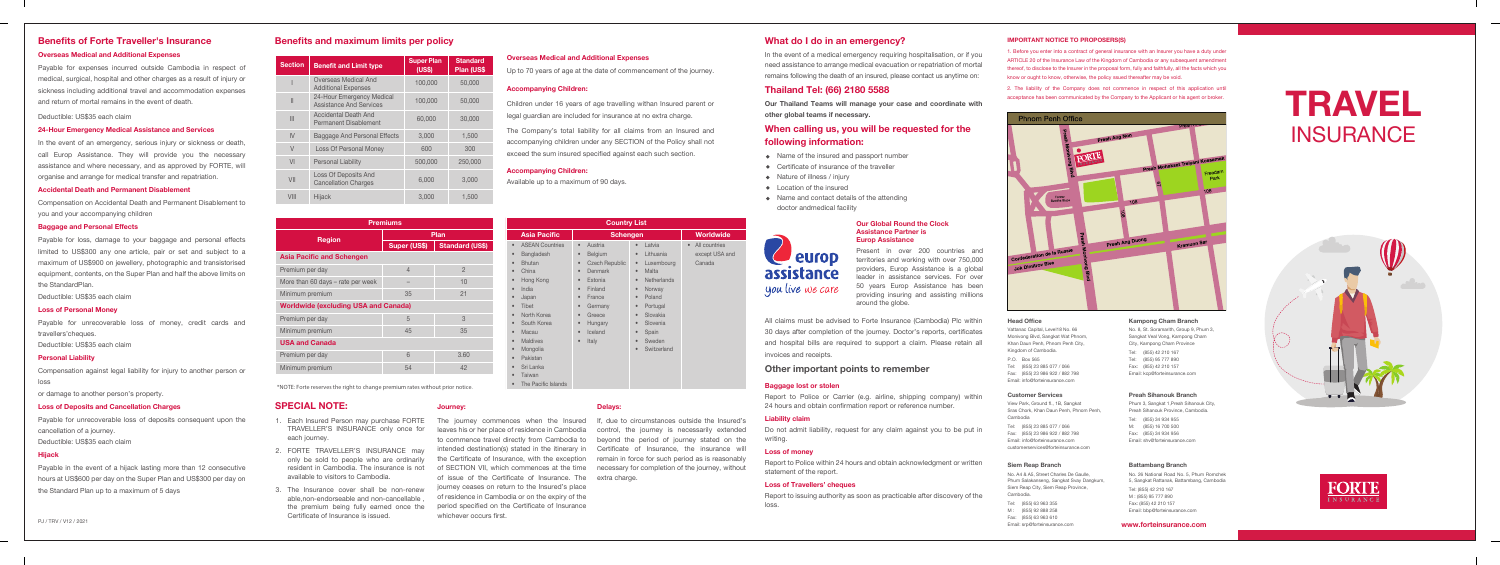PJ / TRV / V12 / 2021

#### **SPECIAL NOTE:**

#### **Other important points to remember**

## **Benefits and maximum limits per policy**

#### **Journey:**

| <b>Premiums</b>                             |                |                        |  |
|---------------------------------------------|----------------|------------------------|--|
|                                             | Plan           |                        |  |
| <b>Region</b>                               | Super (US\$)   | <b>Standard (US\$)</b> |  |
| <b>Asia Pacific and Schengen</b>            |                |                        |  |
| Premium per day                             | $\overline{4}$ | $\mathfrak{D}$         |  |
| More than 60 days – rate per week           |                | 10                     |  |
| Minimum premium                             | 35             | 21                     |  |
| <b>Worldwide (excluding USA and Canada)</b> |                |                        |  |
| Premium per day                             | 5              | 3                      |  |
| Minimum premium                             | 45             | 35                     |  |
| <b>USA and Canada</b>                       |                |                        |  |
| Premium per day                             | 6              | 3.60                   |  |
| Minimum premium                             | 54             | 42                     |  |

| <b>Country List</b>                                                                                                                                                                                                                                                                                                                                                                                                                                                 |                                                                                                                                                                                                                                                                                                               |                                                                                                                                                                                                                                                                                                                                     |                                                        |
|---------------------------------------------------------------------------------------------------------------------------------------------------------------------------------------------------------------------------------------------------------------------------------------------------------------------------------------------------------------------------------------------------------------------------------------------------------------------|---------------------------------------------------------------------------------------------------------------------------------------------------------------------------------------------------------------------------------------------------------------------------------------------------------------|-------------------------------------------------------------------------------------------------------------------------------------------------------------------------------------------------------------------------------------------------------------------------------------------------------------------------------------|--------------------------------------------------------|
| <b>Asia Pacific</b>                                                                                                                                                                                                                                                                                                                                                                                                                                                 | <b>Schengen</b>                                                                                                                                                                                                                                                                                               |                                                                                                                                                                                                                                                                                                                                     | Worldwide                                              |
| <b>ASEAN Countries</b><br>$\bullet$<br>Bangladesh<br>$\bullet$<br><b>Bhutan</b><br>$\bullet$<br>China<br>$\bullet$<br>Hong Kong<br>$\bullet$<br>India<br>$\bullet$<br>Japan<br>$\bullet$<br>Tibet<br>$\bullet$<br>North Korea<br>$\bullet$<br>South Korea<br>$\bullet$<br>Macau<br>$\bullet$<br><b>Maldives</b><br>$\bullet$<br>Mongolia<br>$\bullet$<br>Pakistan<br>$\bullet$<br>Sri Lanka<br>$\bullet$<br>Taiwan<br>$\bullet$<br>The Pacific Islands<br>$\bullet$ | Austria<br>$\bullet$<br>Belgium<br>$\bullet$<br><b>Czech Republic</b><br>$\bullet$<br><b>Denmark</b><br>$\bullet$<br>Estonia<br>$\bullet$<br>Finland<br>$\bullet$<br>France<br>$\bullet$<br>Germany<br>$\bullet$<br>Greece<br>$\bullet$<br>Hungary<br>$\bullet$<br>Iceland<br>$\bullet$<br>Italy<br>$\bullet$ | Latvia<br>$\bullet$<br>Lithuania<br>$\bullet$<br>Luxembourg<br>$\bullet$<br>Malta<br>$\bullet$<br><b>Netherlands</b><br>$\bullet$<br>Norway<br>$\bullet$<br>Poland<br>$\bullet$<br>Portugal<br>$\bullet$<br>Slovakia<br>$\bullet$<br>Slovenia<br>$\bullet$<br>Spain<br>$\bullet$<br>Sweden<br>$\bullet$<br>Switzerland<br>$\bullet$ | All countries<br>$\bullet$<br>except USA and<br>Canada |

*\*NOTE: Forte reserves the right to change premium rates without prior notice.*

**Delays:**

The journey commences when the Insured If, due to circumstances outside the Insured's leaves his or her place of residence in Cambodia control, the journey is necessarily extended to commence travel directly from Cambodia to beyond the period of journey stated on the intended destination(s) stated in the itinerary in Certificate of Insurance, the insurance will the Certificate of Insurance, with the exception remain in force for such period as is reasonably of SECTION VII, which commences at the time necessary for completion of the journey, without of issue of the Certificate of Insurance. The extra charge. journey ceases on return to the Insured's place of residence in Cambodia or on the expiry of the period specified on the Certificate of Insurance whichever occurs first.

| <b>Section</b> | <b>Benefit and Limit type</b>                               | <b>Super Plan</b><br>(US\$) | <b>Standard</b><br>Plan (US\$ |
|----------------|-------------------------------------------------------------|-----------------------------|-------------------------------|
|                | Overseas Medical And<br><b>Additional Expenses</b>          | 100,000                     | 50,000                        |
| $\mathbf{I}$   | 24-Hour Emergency Medical<br><b>Assistance And Services</b> | 100.000                     | 50,000                        |
| Ш              | <b>Accidental Death And</b><br>Permanent Disablement        | 60,000                      | 30,000                        |
| IV             | Baggage And Personal Effects                                | 3.000                       | 1,500                         |
| $\vee$         | <b>Loss Of Personal Money</b>                               | 600                         | 300                           |
| VI             | <b>Personal Liability</b>                                   | 500,000                     | 250,000                       |
| VII            | <b>Loss Of Deposits And</b><br><b>Cancellation Charges</b>  | 6.000                       | 3.000                         |
| VIII           | Hijack                                                      | 3,000                       | 1,500                         |

Present in over 200 countries and territories and working with over 750,000 providers, Europ Assistance is a global leader in assistance services. For over 50 years Europ Assistance has been providing insuring and assisting millions around the globe.

#### **Our Global Round the Clock Assistance Partner is Europ Assistance**

- 1. Each Insured Person may purchase FORTE TRAVELLER'S INSURANCE only once for each journey.
- 2. FORTE TRAVELLER'S INSURANCE may only be sold to people who are ordinarily resident in Cambodia. The insurance is not available to visitors to Cambodia.
- 3. The Insurance cover shall be non-renew able,non-endorseable and non-cancellable , the premium being fully earned once the Certificate of Insurance is issued.

# **Benefits of Forte Traveller's Insurance**

#### **Overseas Medical and Additional Expenses**

Payable for expenses incurred outside Cambodia in respect of medical, surgical, hospital and other charges as a result of injury or sickness including additional travel and accommodation expenses and return of mortal remains in the event of death.

#### Deductible: US\$35 each claim

#### **24-Hour Emergency Medical Assistance and Services**

In the event of an emergency, serious injury or sickness or death, call Europ Assistance. They will provide you the necessary assistance and where necessary, and as approved by FORTE, will organise and arrange for medical transfer and repatriation.

#### **Accidental Death and Permanent Disablement**

Compensation on Accidental Death and Permanent Disablement to you and your accompanying children

#### **Baggage and Personal Effects**

Payable for loss, damage to your baggage and personal effects limited to US\$300 any one article, pair or set and subject to a maximum of US\$900 on jewellery, photographic and transistorised equipment, contents, on the Super Plan and half the above limits on the StandardPlan.

In the event of a medical emergency requiring hospitalisation, or if you need assistance to arrange medical evacuation or repatriation of mortal remains following the death of an insured, please contact us anytime on:

Deductible: US\$35 each claim

#### **Loss of Personal Money**

- Name of the insured and passport number
- Certificate of insurance of the traveller
- Nature of illness / injury
- Location of the insured
- Name and contact details of the attending
- doctor andmedical facility

# europ assistance you live we care

Payable for unrecoverable loss of money, credit cards and travellers'cheques.

Deductible: US\$35 each claim

#### **Personal Liability**

Compensation against legal liability for injury to another person or loss

or damage to another person's property.

#### **Loss of Deposits and Cancellation Charges**

Payable for unrecoverable loss of deposits consequent upon the cancellation of a journey.

Deductible: US\$35 each claim

#### **Hijack**

Payable in the event of a hijack lasting more than 12 consecutive hours at US\$600 per day on the Super Plan and US\$300 per day on the Standard Plan up to a maximum of 5 days

#### **IMPORTANT NOTICE TO PROPOSERS(S)**

1. Before you enter into a contract of general insurance with an Insurer you have a duty under ARTICLE 20 of the Insurance Law of the Kingdom of Cambodia or any subsequent amendment thereof, to disclose to the Insurer in the proposal form, fully and faithfully, all the facts which you know or ought to know, otherwise, the policy ssued thereafter may be void.

2. The liability of the Company does not commence in respect of this application until acceptance has been communicated by the Company to the Applicant or his agent or broker.



#### **Head Office**

Vattanac Capital, Level18 No. 66 Monivong Blvd, Sangkat Wat Phnom, Khan Daun Penh, Phnom Penh City, Kingdom of Cambodia. P.O. Box 565

Tel: (855) 23 885 077 / 066 Fax: (855) 23 986 922 / 882 798 Email: info@forteinsurance.com

**Kampong Cham Branch**

No. 8, St. Soramarith, Group 9, Phum 3, Sangkat Veal Vong, Kampong Cham City, Kampong Cham Province Tel: (855) 42 210 167 Tel: (855) 95 777 890 Fax: (855) 42 210 157 Email: kcp@forteinsurance.com

#### **Customer Services**

View Park, Ground fl., 1B, Sangkat Sras Chork, Khan Daun Penh, Phnom Penh, Cambodia Tel: (855) 23 885 077 / 066 Fax: (855) 23 986 922 / 882 798 Email: info@forteinsurance.com customerservices@forteinsurance.com

#### **Preah Sihanouk Branch**

Phum 3, Sangkat 1,Preah Sihanouk City, Preah Sihanouk Province, Cambodia. Tel: (855) 34 934 955 M: (855) 16 700 500 Fax: (855) 34 934 956 Email: shv@forteinsurance.com

#### **Siem Reap Branch**

No. A4 & A5, Street Charles De Gaulle, Phum Salakanseng, Sangkat Svay Dangkum, Siem Reap City, Siem Reap Province, Cambodia. Tel: (855) 63 963 355 M : (855) 92 888 258 Fax: (855) 63 963 610

Email: srp@forteinsurance.com

#### **Battambang Branch**

No. 26 National Road No. 5, Phum Romchek 5, Sangkat Rattanak, Battambang, Cambodia Tel: (855) 42 210 167 M : (855) 95 777 890 Fax: (855) 42 210 157 Email: bbp@forteinsurance.com

All claims must be advised to Forte Insurance (Cambodia) Plc within 30 days after completion of the journey. Doctor's reports, certificates and hospital bills are required to support a claim. Please retain all invoices and receipts.

#### **Baggage lost or stolen**

Report to Police or Carrier (e.g. airline, shipping company) within 24 hours and obtain confirmation report or reference number.

#### **Liability claim**

Do not admit liability, request for any claim against you to be put in writing.

#### **Loss of money**

Report to Police within 24 hours and obtain acknowledgment or written statement of the report.

#### **Loss of Travellers' cheques**

Report to issuing authority as soon as practicable after discovery of the

loss.

#### **Overseas Medical and Additional Expenses**

Up to 70 years of age at the date of commencement of the journey.

#### **Accompanying Children:**

Children under 16 years of age travelling withan Insured parent or legal guardian are included for insurance at no extra charge.

The Company's total liability for all claims from an Insured and accompanying children under any SECTION of the Policy shall not exceed the sum insured specified against each such section.

#### **Accompanying Children:**

Available up to a maximum of 90 days.

### **What do I do in an emergency?**

## **Thailand Tel: (66) 2180 5588**

**Our Thailand Teams will manage your case and coordinate with other global teams if necessary.**

## **When calling us, you will be requested for the following information:**

**www.forteinsurance.com**

# **TRAVEL INSURANCE**